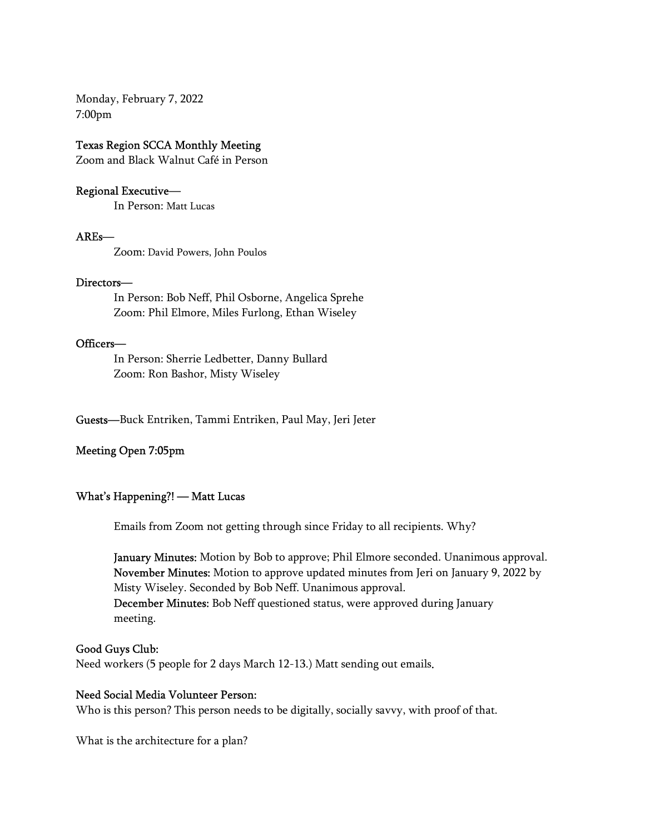Monday, February 7, 2022 7:00pm

# Texas Region SCCA Monthly Meeting Zoom and Black Walnut Café in Person

### Regional Executive—

In Person: Matt Lucas

#### AREs—

Zoom: David Powers, John Poulos

 Directors— In Person: Bob Neff, Phil Osborne, Angelica Sprehe Zoom: Phil Elmore, Miles Furlong, Ethan Wiseley

Officers—<br>In Person: Sherrie Ledbetter, Danny Bullard Zoom: Ron Bashor, Misty Wiseley

Guests—Buck Entriken, Tammi Entriken, Paul May, Jeri Jeter

#### Meeting Open 7:05pm

What's Happening?! — Matt Lucas<br>Emails from Zoom not getting through since Friday to all recipients. Why?

January Minutes: Motion by Bob to approve; Phil Elmore seconded. Unanimous approval. November Minutes: Motion to approve updated minutes from Jeri on January 9, 2022 by Misty Wiseley. Seconded by Bob Neff. Unanimous approval. December Minutes: Bob Neff questioned status, were approved during January meeting.

#### Good Guys Club:

Need workers (5 people for 2 days March 12-13.) Matt sending out emails.

### Need Social Media Volunteer Person:

Who is this person? This person needs to be digitally, socially savvy, with proof of that.

What is the architecture for a plan?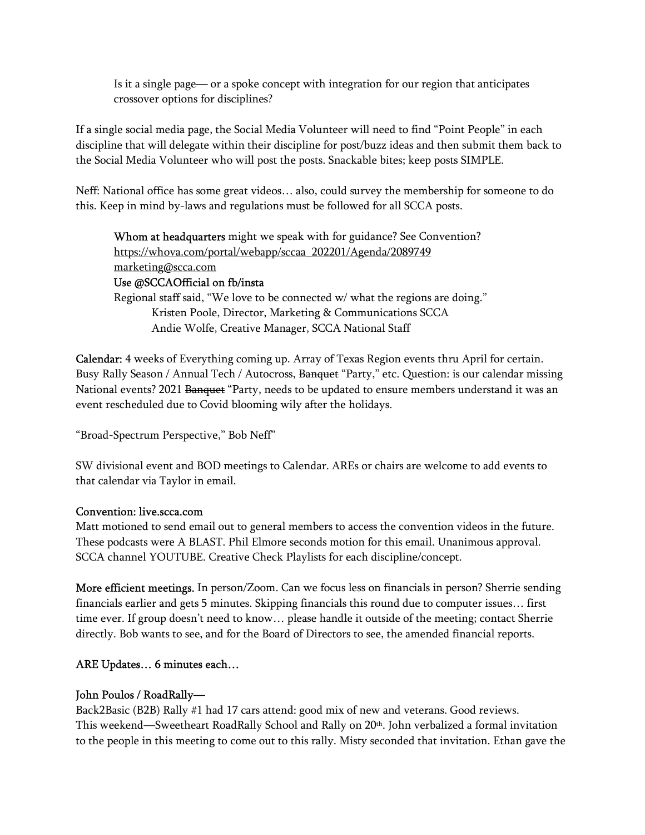Is it a single page— or a spoke concept with integration for our region that anticipates crossover options for disciplines?

If a single social media page, the Social Media Volunteer will need to find "Point People" in each discipline that will delegate within their discipline for post/buzz ideas and then submit them back to the Social Media Volunteer who will post the posts. Snackable bites; keep posts SIMPLE.

Neff: National office has some great videos… also, could survey the membership for someone to do this. Keep in mind by-laws and regulations must be followed for all SCCA posts.

Whom at headquarters might we speak with for guidance? See Convention? https://whova.com/portal/webapp/sccaa\_202201/Agenda/2089749 marketing@scca.com Use @SCCAOfficial on fb/insta Regional staff said, "We love to be connected w/ what the regions are doing." Kristen Poole, Director, Marketing & Communications SCCA

Andie Wolfe, Creative Manager, SCCA National Staff

 Calendar: 4 weeks of Everything coming up. Array of Texas Region events thru April for certain. Busy Rally Season / Annual Tech / Autocross, <del>Banquet</del> "Party," etc. Question: is our calendar missing National events? 2021 Banquet "Party, needs to be updated to ensure members understand it was an event rescheduled due to Covid blooming wily after the holidays.

"Broad-Spectrum Perspective," Bob Neff"

 SW divisional event and BOD meetings to Calendar. AREs or chairs are welcome to add events to that calendar via Taylor in email.

### Convention: live.scca.com

Matt motioned to send email out to general members to access the convention videos in the future. These podcasts were A BLAST. Phil Elmore seconds motion for this email. Unanimous approval. SCCA channel YOUTUBE. Creative Check Playlists for each discipline/concept.

 More efficient meetings. In person/Zoom. Can we focus less on financials in person? Sherrie sending financials earlier and gets 5 minutes. Skipping financials this round due to computer issues… first time ever. If group doesn't need to know… please handle it outside of the meeting; contact Sherrie directly. Bob wants to see, and for the Board of Directors to see, the amended financial reports.

# ARE Updates… 6 minutes each…

### John Poulos / RoadRally—

Back2Basic (B2B) Rally #1 had 17 cars attend: good mix of new and veterans. Good reviews. This weekend—Sweetheart RoadRally School and Rally on 20th. John verbalized a formal invitation to the people in this meeting to come out to this rally. Misty seconded that invitation. Ethan gave the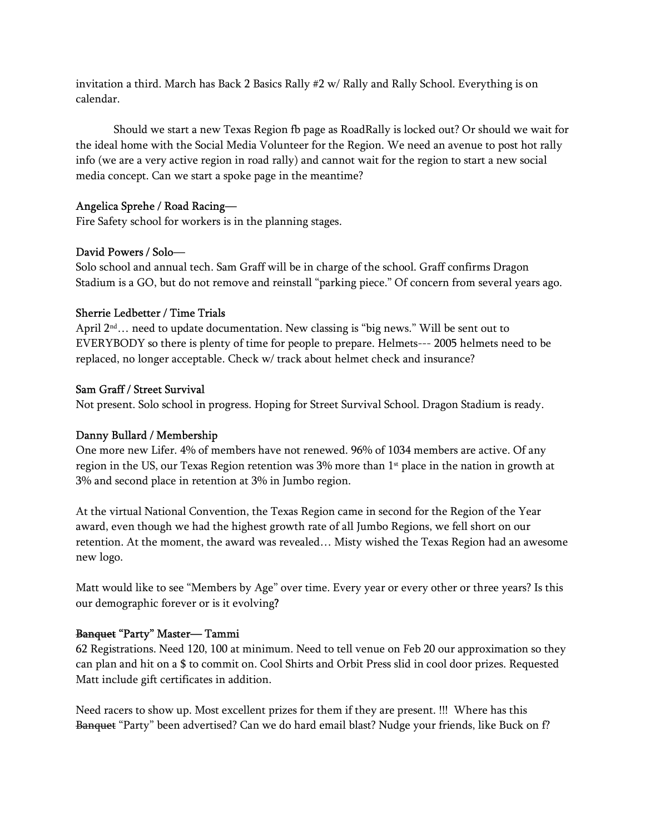invitation a third. March has Back 2 Basics Rally #2 w/ Rally and Rally School. Everything is on calendar.

Should we start a new Texas Region fb page as RoadRally is locked out? Or should we wait for the ideal home with the Social Media Volunteer for the Region. We need an avenue to post hot rally info (we are a very active region in road rally) and cannot wait for the region to start a new social media concept. Can we start a spoke page in the meantime?

# Angelica Sprehe / Road Racing—

Fire Safety school for workers is in the planning stages.

# David Powers / Solo—

Solo school and annual tech. Sam Graff will be in charge of the school. Graff confirms Dragon Stadium is a GO, but do not remove and reinstall "parking piece." Of concern from several years ago.

# Sherrie Ledbetter / Time Trials

April  $2^{nd}$ ... need to update documentation. New classing is "big news." Will be sent out to EVERYBODY so there is plenty of time for people to prepare. Helmets--- 2005 helmets need to be replaced, no longer acceptable. Check w/ track about helmet check and insurance?

# Sam Graff / Street Survival

Not present. Solo school in progress. Hoping for Street Survival School. Dragon Stadium is ready.

# Danny Bullard / Membership

One more new Lifer. 4% of members have not renewed. 96% of 1034 members are active. Of any region in the US, our Texas Region retention was 3% more than 1<sup>st</sup> place in the nation in growth at 3% and second place in retention at 3% in Jumbo region.

 At the virtual National Convention, the Texas Region came in second for the Region of the Year award, even though we had the highest growth rate of all Jumbo Regions, we fell short on our retention. At the moment, the award was revealed… Misty wished the Texas Region had an awesome new logo.

 Matt would like to see "Members by Age" over time. Every year or every other or three years? Is this our demographic forever or is it evolving?

# Banquet "Party" Master— Tammi

62 Registrations. Need 120, 100 at minimum. Need to tell venue on Feb 20 our approximation so they can plan and hit on a \$ to commit on. Cool Shirts and Orbit Press slid in cool door prizes. Requested Matt include gift certificates in addition.

Need racers to show up. Most excellent prizes for them if they are present. !!! Where has this Banquet "Party" been advertised? Can we do hard email blast? Nudge your friends, like Buck on f?